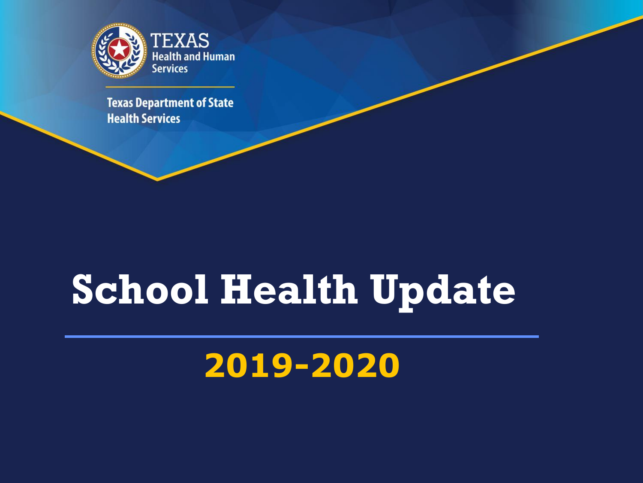

**Texas Department of State Health Services** 

## **School Health Update**

### **2019-2020**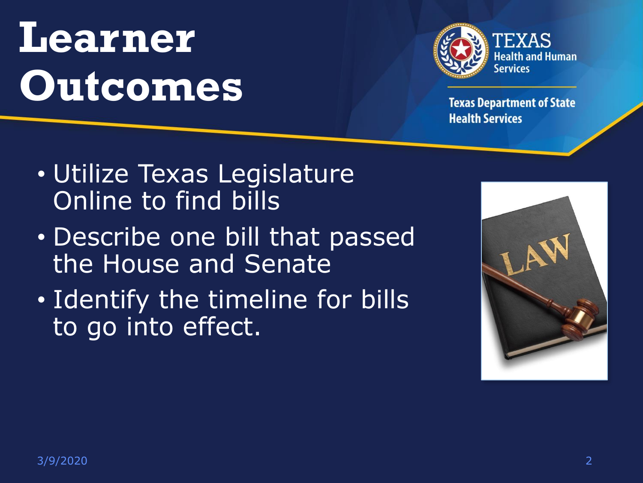## **Learner Outcomes**



- Utilize Texas Legislature Online to find bills
- Describe one bill that passed the House and Senate
- Identify the timeline for bills to go into effect.

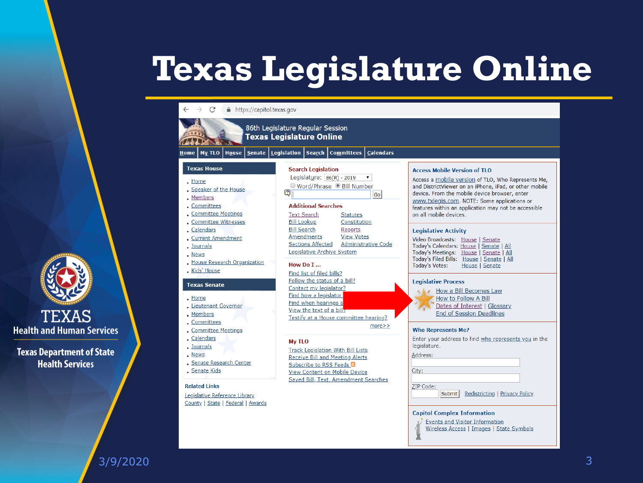### **Texas Legislature Online**



3/9/2020 3

**TEXAS** 

**Health Services**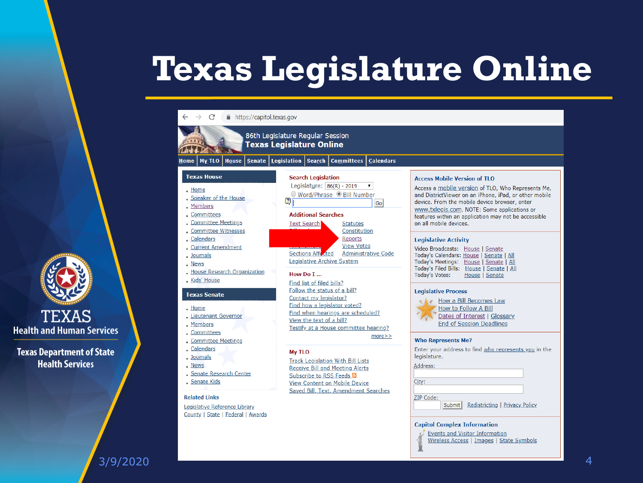### **Texas Legislature Online**



 $\rightarrow$ 

86th Legislature Regular Session

**Texas Legislature Online** 

#### Home | My TLO | House | Senate | Legislation | Search | Committees **Calendars**

#### **Texas House**

- $.$  Home
- . Speaker of the House
- . Members
- . Committees Committee Meetings
- Committee Witnesses
- . Calendars
- Current Amendment
- . Journals
- . News
- House Research Organization Kids' House

#### **Texas Senate**

- . Home
- Lieutenant Governor
- . Members
- 
- Calendars
- . Journals
- . News
- **Senate Research Center**
- Senate Kids

#### **Related Links**

Legislative Reference Library County | State | Federal | Awards



#### How Do I ...

- Find list of filed bills? Follow the status of a bill? Contact my legislator?
- Find how a legislator voted? Find when hearings are scheduled?
- View the text of a bill?
- Testify at a House committee hearing?

 $more>$ 

#### My TLO

**Track Legislation With Bill Lists Receive Bill and Meeting Alerts** Subscribe to RSS Feeds & View Content on Mobile Device **Saved Bill, Text, Amendment Searches** 

Submit Redistricting | Privacy Policy

#### **Capitol Complex Information**

- Events and Visitor Information
- Wireless Access | Images | State Symbols

Access a mobile version of TLO, Who Represents Me, and DistrictViewer on an iPhone, iPad, or other mobile device. From the mobile device browser, enter www.txlegis.com. NOTE: Some applications or features within an application may not be accessible on all mobile devices.

#### **Legislative Activity**

**Access Mobile Version of TLO** 

Video Broadcasts: House | Senate Today's Calendars: House | Senate | All Today's Meetings: House | Senate | All Today's Filed Bills: House | Senate | All **Today's Votes:** House | Senate

#### **Legislative Process**

K Le How a Bill Becomes Law How to Follow A Bill Dates of Interest | Glossary **End of Session Deadlines** 

#### **Who Represents Me?**

Enter your address to find who represents you in the legislature.

Address:

City:

ZIP Code:

#### 3/9/2020 4

**TEXAS** 

**Health and Human Services** 

**Texas Department of State** 

**Health Services** 

Committees Committee Meetings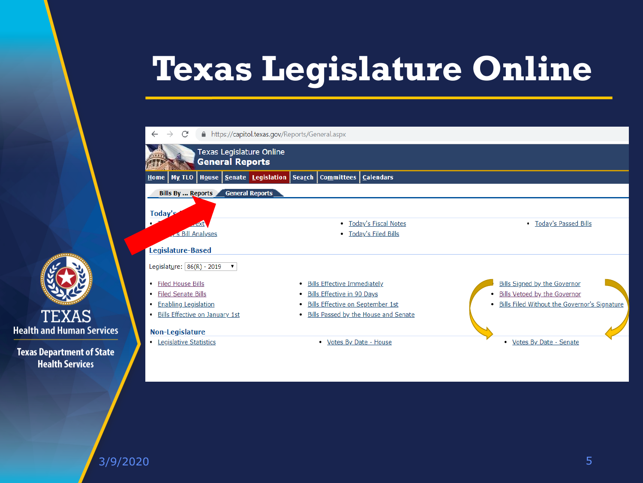### **Texas Legislature Online**



**Texas Department of State Health Services** 

**TEXAS** 

3/9/2020 5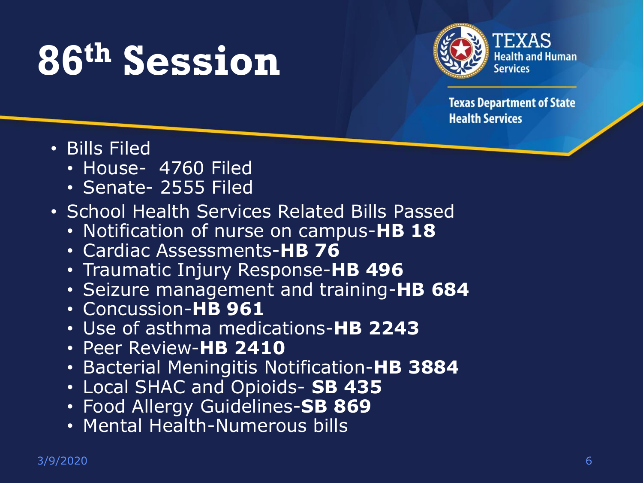## **86th Session**



- Bills Filed
	- House- 4760 Filed
	- Senate- 2555 Filed
- School Health Services Related Bills Passed
	- Notification of nurse on campus-**HB 18**
	- Cardiac Assessments-**HB 76**
	- Traumatic Injury Response-**HB 496**
	- Seizure management and training-**HB 684**
	- Concussion-**HB 961**
	- Use of asthma medications-**HB 2243**
	- Peer Review-**HB 2410**
	- Bacterial Meningitis Notification-**HB 3884**
	- Local SHAC and Opioids- **SB 435**
	- Food Allergy Guidelines-**SB 869**
	- Mental Health-Numerous bills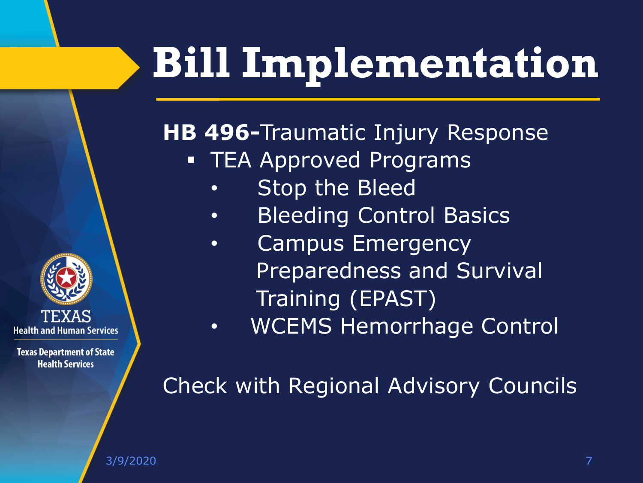### **HB 496-**Traumatic Injury Response

- **EXAMELE** Programs
	- Stop the Bleed
	- Bleeding Control Basics
	- Campus Emergency Preparedness and Survival Training (EPAST)
	- WCEMS Hemorrhage Control

Check with Regional Advisory Councils

**Health and Human Services** 

**Texas Department of State Health Services** 

3/9/2020 7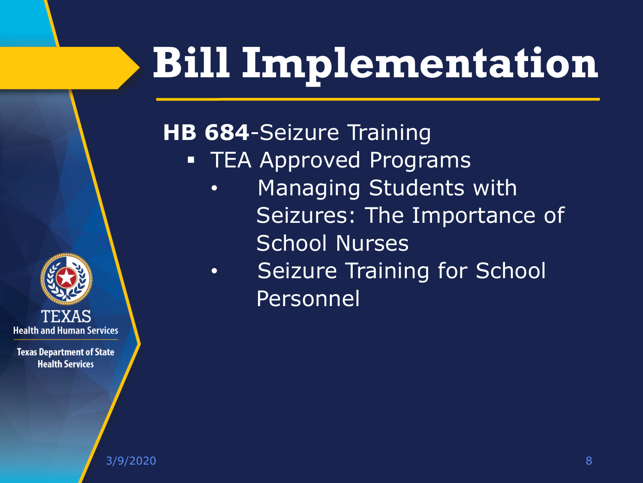#### **HB 684**-Seizure Training

- **TEA Approved Programs** 
	- Managing Students with Seizures: The Importance of School Nurses
	- Seizure Training for School Personnel



**Texas Department of State Health Services** 

3/9/2020 8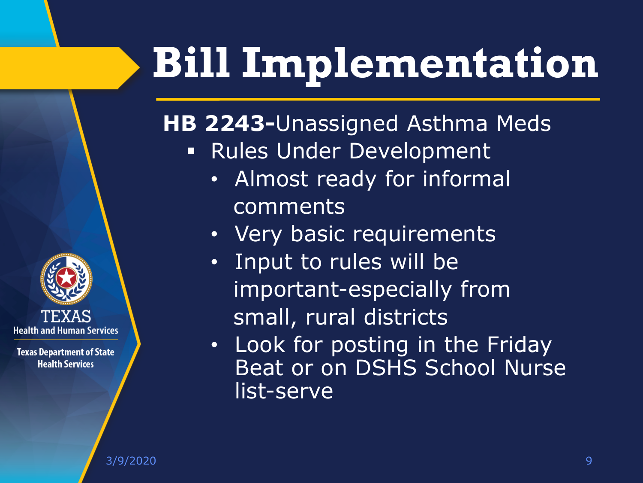**HB 2243-**Unassigned Asthma Meds

- **Rules Under Development** 
	- Almost ready for informal comments
	- Very basic requirements
	- Input to rules will be important-especially from small, rural districts
	- Look for posting in the Friday Beat or on DSHS School Nurse list-serve

**Health and Human Services**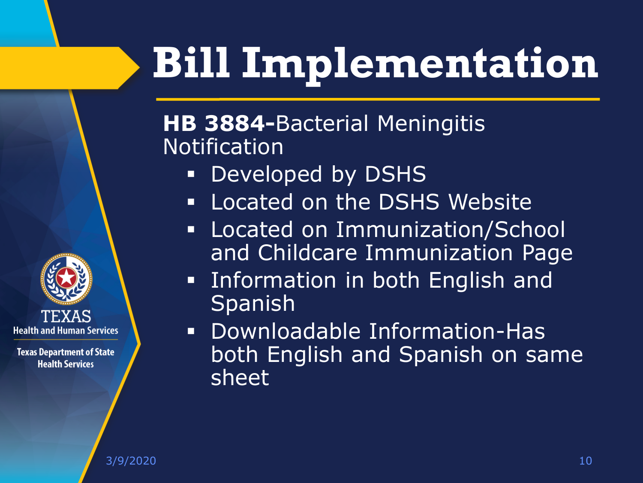#### **HB 3884-**Bacterial Meningitis Notification

- Developed by DSHS
- **.** Located on the DSHS Website
- **Example 2 Immunization/School** and Childcare Immunization Page
- **EXECT 11** Information in both English and Spanish
- Downloadable Information-Has both English and Spanish on same sheet

3/9/2020 10

TEXAS **Health and Human Services**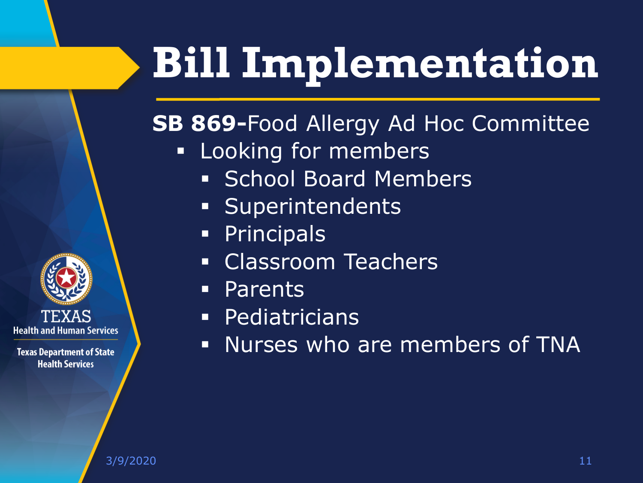#### **SB 869-**Food Allergy Ad Hoc Committee

- **EXEC** Looking for members
	- **Example 3 School Board Members**
	- **Example 1 Superintendents**
	- Principals
	- **Example 25 Classroom Teachers**
	- Parents
	- Pediatricians
	- Nurses who are members of TNA

TEXAS **Health and Human Services**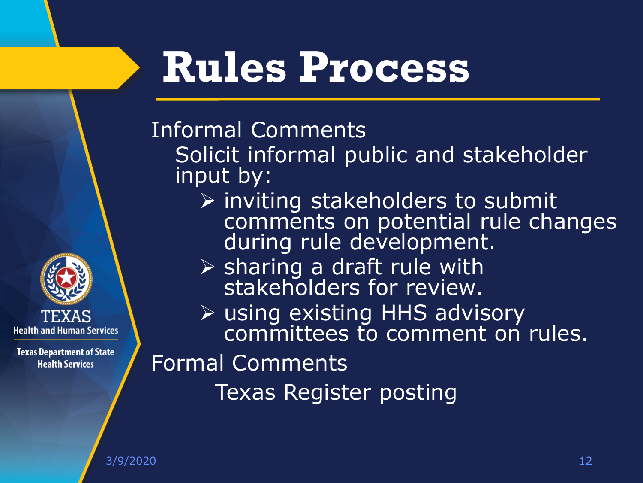## **Rules Process**

#### Informal Comments

Solicit informal public and stakeholder input by:

- $\triangleright$  inviting stakeholders to submit comments on potential rule changes during rule development.
- ➢ sharing a draft rule with stakeholders for review.
- ➢ using existing HHS advisory committees to comment on rules.

#### Formal Comments

Texas Register posting

**Health and Human Services**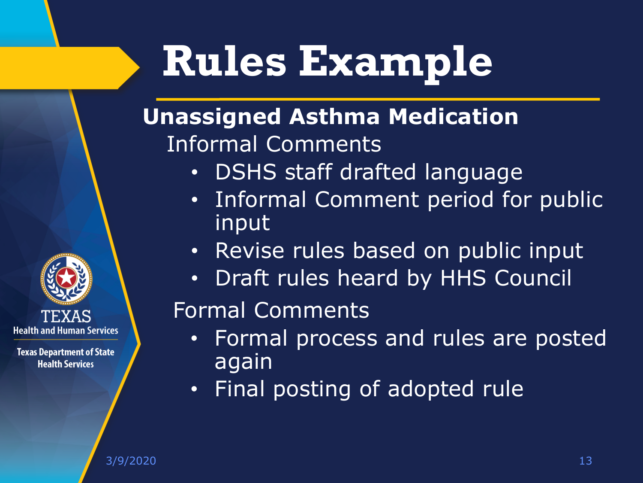## **Rules Example**

#### **Unassigned Asthma Medication**  Informal Comments

- DSHS staff drafted language
- Informal Comment period for public input
- Revise rules based on public input
- Draft rules heard by HHS Council

#### Formal Comments

- Formal process and rules are posted again
- Final posting of adopted rule

**Health and Human Services**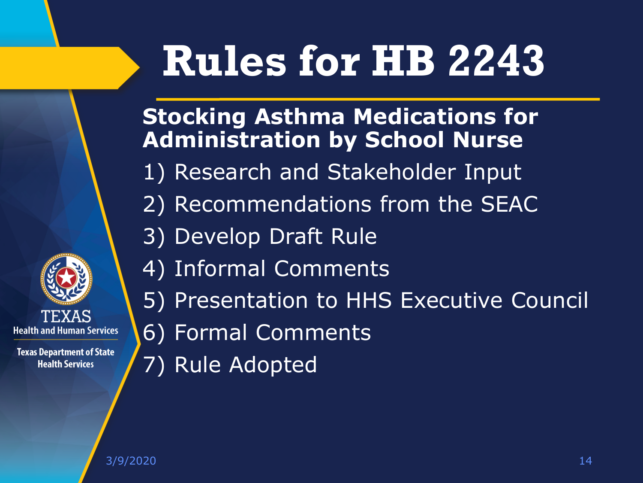## **Rules for HB 2243**

**Stocking Asthma Medications for Administration by School Nurse**

- 1) Research and Stakeholder Input
- 2) Recommendations from the SEAC
- 3) Develop Draft Rule
- 4) Informal Comments
- 5) Presentation to HHS Executive Council
- 6) Formal Comments
- 7) Rule Adopted

**Health and Human Services**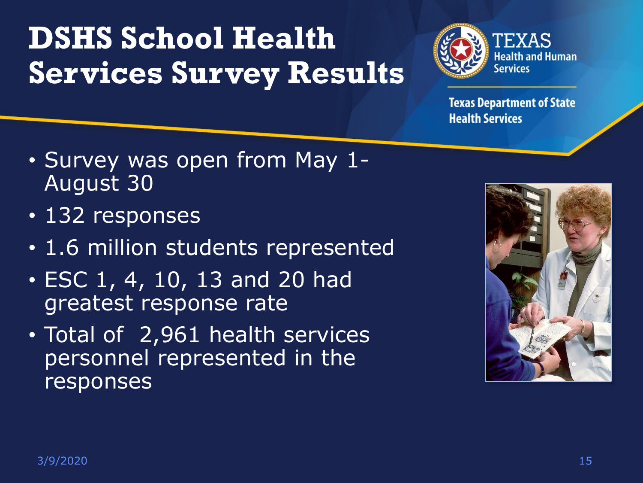### **DSHS School Health Services Survey Results**



- Survey was open from May 1- August 30
- 132 responses
- 1.6 million students represented
- ESC 1, 4, 10, 13 and 20 had greatest response rate
- Total of 2,961 health services personnel represented in the responses

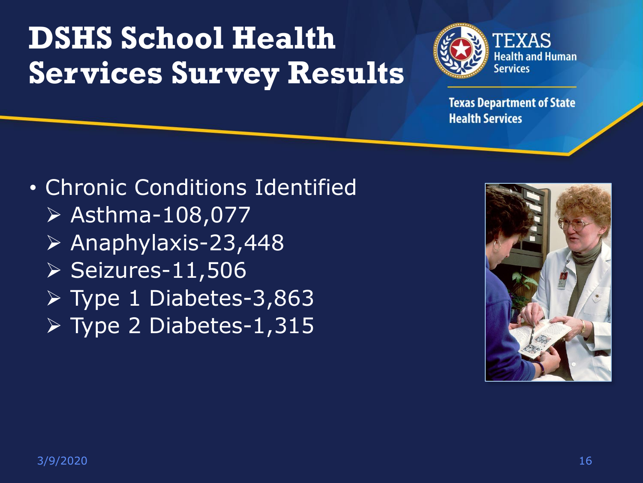### **DSHS School Health Services Survey Results**



**Texas Department of State Health Services** 

• Chronic Conditions Identified ➢ Asthma-108,077 ➢ Anaphylaxis-23,448 ➢ Seizures-11,506 ➢ Type 1 Diabetes-3,863 ➢ Type 2 Diabetes-1,315

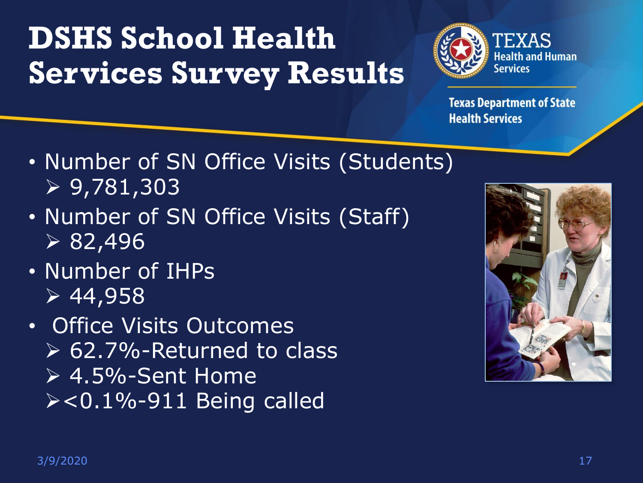### **DSHS School Health Services Survey Results**



- Number of SN Office Visits (Students)  $> 9,781,303$
- Number of SN Office Visits (Staff)  $\sqrt{82,496}$
- Number of IHPs  $> 44,958$
- Office Visits Outcomes ➢ 62.7%-Returned to class  $\geq 4.5\%$ -Sent Home ➢<0.1%-911 Being called

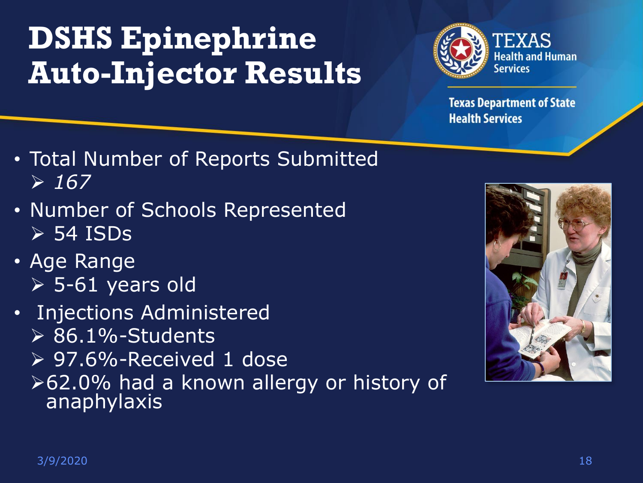### **DSHS Epinephrine Auto-Injector Results**



- Total Number of Reports Submitted  $> 167$
- Number of Schools Represented  $>$  54 ISDs
- Age Range ➢ 5-61 years old
- Injections Administered  $\triangleright$  86.1%-Students ➢ 97.6%-Received 1 dose ➢62.0% had a known allergy or history of anaphylaxis

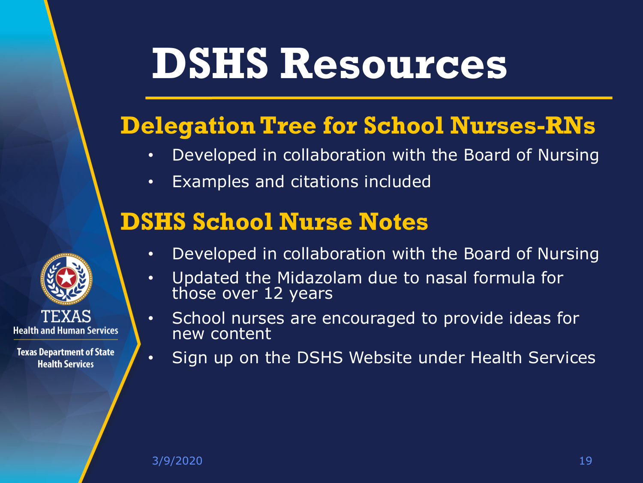## **DSHS Resources**

#### **Delegation Tree for School Nurses-RNs**

- Developed in collaboration with the Board of Nursing
- Examples and citations included

#### **DSHS School Nurse Notes**



- Developed in collaboration with the Board of Nursing
- Updated the Midazolam due to nasal formula for those over 12 years
- School nurses are encouraged to provide ideas for new content
- Sign up on the DSHS Website under Health Services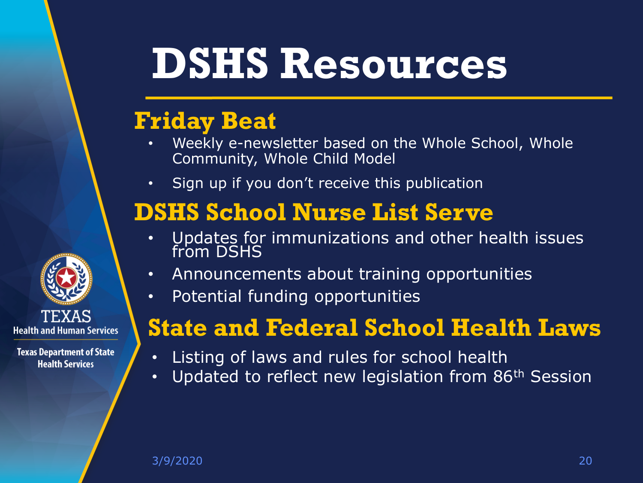### **DSHS Resources**

#### **Friday Beat**

- Weekly e-newsletter based on the Whole School, Whole Community, Whole Child Model
- Sign up if you don't receive this publication

#### **DSHS School Nurse List Serve**

- Updates for immunizations and other health issues from DSHS
- Announcements about training opportunities
- Potential funding opportunities

#### **State and Federal School Health Laws**

- Listing of laws and rules for school health
- Updated to reflect new legislation from 86<sup>th</sup> Session

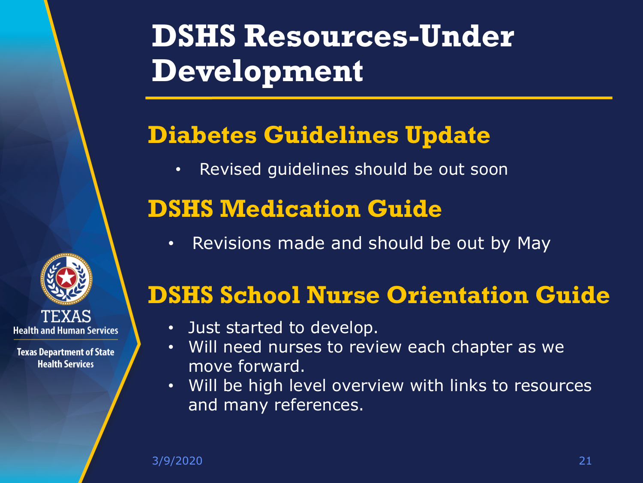### **DSHS Resources-Under Development**

#### **Diabetes Guidelines Update**

• Revised guidelines should be out soon

#### **DSHS Medication Guide**

• Revisions made and should be out by May

# **Health and Human Services**

**Texas Department of State Health Services** 

#### **DSHS School Nurse Orientation Guide**

- Just started to develop.
- Will need nurses to review each chapter as we move forward.
- Will be high level overview with links to resources and many references.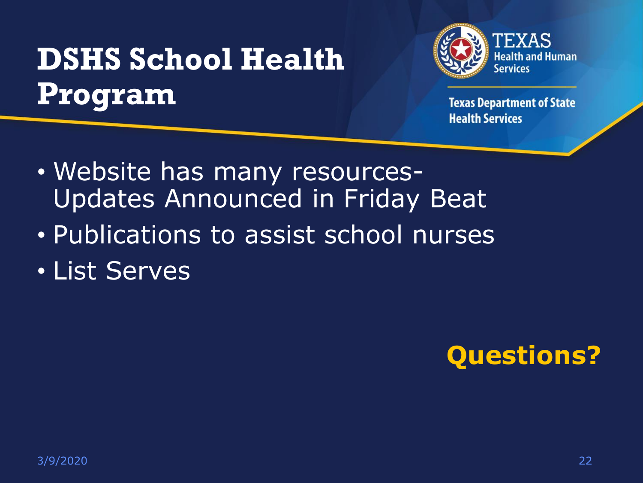### **DSHS School Health Program**



- Website has many resources-Updates Announced in Friday Beat
- Publications to assist school nurses
- List Serves